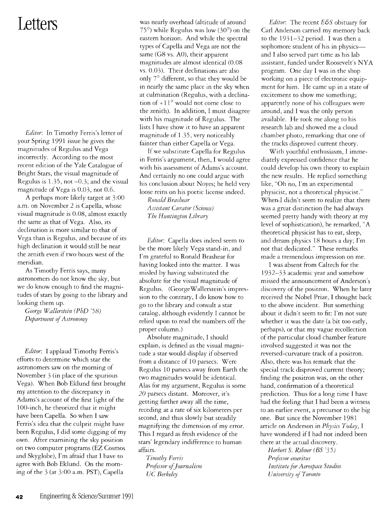## **Letters**

*Editor:* In Timothy Ferris's letter of your Spring 1991 issue he gives the magnitudes of Regulus and Vega incorrectly. According to the most recent edition of the Yale Catalogue of Bright Stars, the visual magnitude of Regulus is 1.35, not -0.3; and the visual magnitude of Vega is 0.03, not 0.6.

A perhaps more likely target at 3:00 a.m. on November 2 is Capella, whose visual magnitude is 0.08, almost exactly the same as that of Vega. Also, its declination is more similar to that of Vega than is Regulus, and because of its high declination it would still be near the zenith even if two hours west of the meridian.

As Timothy Ferris says, many astronomers do not know the sky, but we do know enough to find the magnitudes of stars by going to the library and looking them up.

*George Wallerstein (PhD* '58) *Department of Astronomy* 

*Editor:* I applaud Timothy Ferris's efforts to determine which star the astronomers saw on the morning of November 3 (in place of the spurious Vega). When Bob Eklund first brought my attention to the discrepancy in Adams's account of the first light of the 100-inch, he theorized that it might have been Capella. So when I saw Ferris's idea that the culprit might have been Regulus, I did some digging of my own. After examining the sky position on two computer programs (EZ Cosmos and Skyglobe), I'm afraid that I have to agree with Bob Eklund. On the morning of the 3 (at 3:00 a.m. PST), Capella

was nearly overhead (altitude of around 75°) while Regulus was low (30°) on the eastern horizon. And while the spectral types of Capella and Vega are not the same (G8 vs. AO), their apparent magnitudes are almost identical (0.08 vs. 0.03). Their declinations are also only 7° different, so that they would be in nearly the same place in the sky when at culmination (Regulus, with a declination of  $+11^{\circ}$  would not come close to the zenith). **In** addition, I must disagree with his magnitude of Regulus. The lists I have show it to have an apparent magnitude of l.35, very noticeably fainter than either Capella or Vega.

**If** we substitute Capella for Regulus in Ferris's argument, then, I would agree with his assessment of Adams's account. And certainly no one could argue with his conclusion about Noyes; he held very loose reins on his poetic license indeed.

*Ronald Brashear Assistant Curator (Science) The Huntington Library* 

*Editor:* Capella does indeed seem to be the more likely Vega stand-in, and I'm grateful to Ronald Brashear for having looked into the matter. I was misled by having substituted the absolute for the visual magnitude of Regulus. (GeorgeWalierstein's impression to the contrary, I do know how to go to the library and consult a star catalog, although evidently I cannot be relied upon to read the numbers off the proper column.)

Absolute magnitude, I should explain, is defined as the visual magnitude a star would display if observed from a distance of 10 parsecs. Were Regulus 10 parsecs away from Earth the two magnitudes would be identical. Alas for my argument, Regulus is some 20 parsecs distant. Moreover, it's getting farther away all the time, receding at a rate of six kilometers per second, and thus slowly but steadily magnifying the dimension of my error. This I regard as fresh evidence of the stars' legendary indifference to human affairs.

*Timothy Ferris Professor of} oumalism UC Berkeley* 

*Editor:* The recent *E&S* obituary for Carl Anderson carried my memory back to the 1931-32 period. I was then a sophomore student of his in physics--and I also served part time as his lab assistant, funded under Roosevelt's NY A program. One day I was in the shop working on a piece of electronic equipment for him. He came up in a state of excitement to show me something; apparently none of his colleagues were around, and I was the only person available. He took me along to his research lab and showed me a cloud chamber photo, remarking that one of the tracks disproved current theory.

With youthful enthusiasm, I immediately expressed confidence that he could develop his own theory to explain the new results. He replied something like, "Oh no, I'm an experimental physicist, not a theoretical physicist." When~J didn't seem to realize that there was a great distinction (he had always seemed pretty handy with theory at my level of sophistication), he remarked, "A theoretical physicist has to eat, sleep, and dream physics 18 hours a day; I'm not that dedicated." These remarks made a tremendous impression on me.

I was absent from Caltech for the 1932-33 academic year and somehow missed the announcement of Anderson's discovery of the positron. When he later received the Nobel Prize, I thought back to the above incident. But something about it didn't seem to fir: I'm not sure whether it was the date (a bit too early, perhaps), or that my vague recollection of the particular cloud chamber feature involved suggested it was not the reversed-curvature track of a positron. Also, there was his remark that the special track disproved current theory; finding the positron was, on the other hand, confirmation of a theoretical prediction. Thus for a long time I have had the feeling that I had been a witness to an earlier event, a precursor to the big one. But since the November 1981 article on Anderson in *Physics Today*, I have wondered if I had not indeed been there at the actual discovery.

*Herbert* S. *Ribner (BS '35) Professor emeritus Institute for Aerospace Studies University of Toronto*